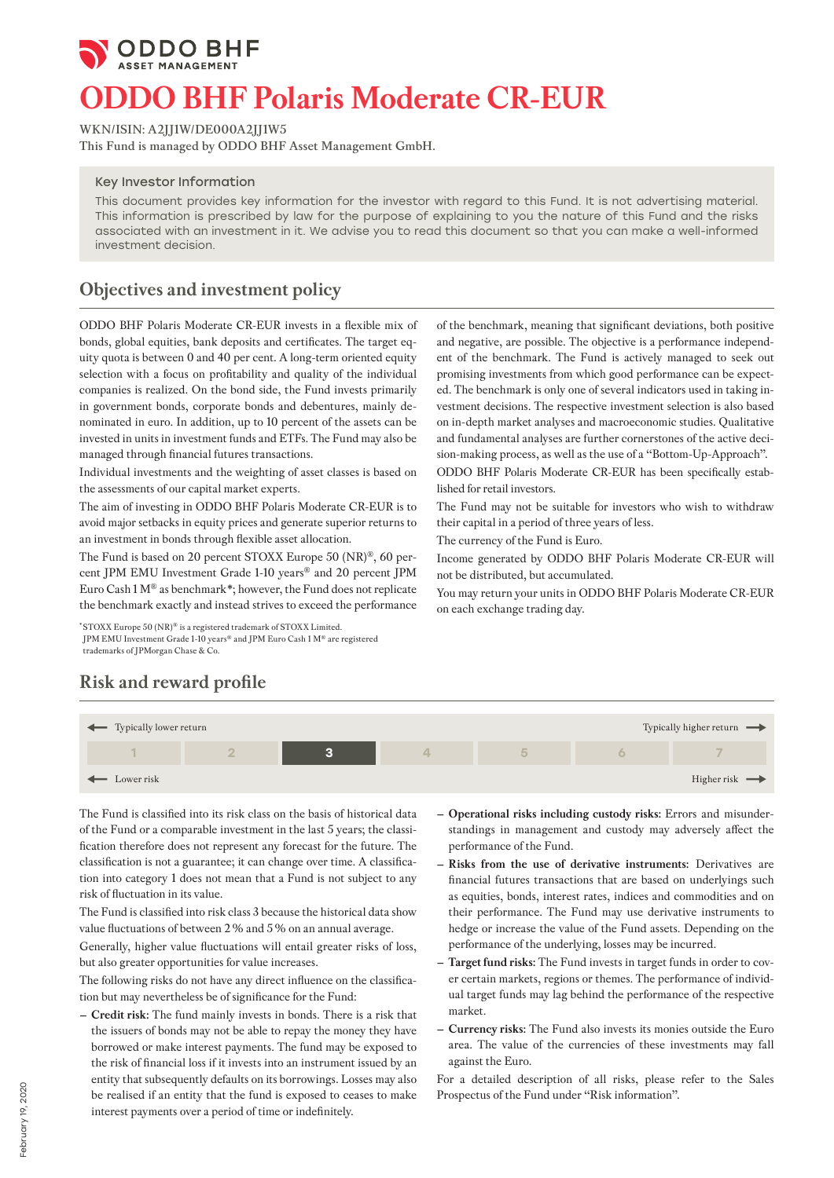

# **ODDO BHF Polaris Moderate CR-EUR**

**WKN/ISIN: A2JJ1W/DE000A2JJ1W5**

**This Fund is managed by ODDO BHF Asset Management GmbH.**

#### Key Investor Information

This document provides key information for the investor with regard to this Fund. It is not advertising material. This information is prescribed by law for the purpose of explaining to you the nature of this Fund and the risks associated with an investment in it. We advise you to read this document so that you can make a well-informed investment decision.

## **Objectives and investment policy**

ODDO BHF Polaris Moderate CR-EUR invests in a flexible mix of bonds, global equities, bank deposits and certificates. The target equity quota is between 0 and 40 per cent. A long-term oriented equity selection with a focus on profitability and quality of the individual companies is realized. On the bond side, the Fund invests primarily in government bonds, corporate bonds and debentures, mainly denominated in euro. In addition, up to 10 percent of the assets can be invested in units in investment funds and ETFs. The Fund may also be managed through financial futures transactions.

Individual investments and the weighting of asset classes is based on the assessments of our capital market experts.

The aim of investing in ODDO BHF Polaris Moderate CR-EUR is to avoid major setbacks in equity prices and generate superior returns to an investment in bonds through flexible asset allocation.

The Fund is based on 20 percent STOXX Europe 50 (NR)®, 60 percent JPM EMU Investment Grade 1-10 years® and 20 percent JPM Euro Cash 1 M® as benchmark\*; however, the Fund does not replicate the benchmark exactly and instead strives to exceed the performance

\* STOXX Europe 50 (NR)® is a registered trademark of STOXX Limited. JPM EMU Investment Grade 1-10 years® and JPM Euro Cash 1 M® are registered trademarks of JPMorgan Chase & Co.

**Risk and reward profile**

of the benchmark, meaning that significant deviations, both positive and negative, are possible. The objective is a performance independent of the benchmark. The Fund is actively managed to seek out promising investments from which good performance can be expected. The benchmark is only one of several indicators used in taking investment decisions. The respective investment selection is also based on in-depth market analyses and macroeconomic studies. Qualitative and fundamental analyses are further cornerstones of the active decision-making process, as well as the use of a "Bottom-Up-Approach".

ODDO BHF Polaris Moderate CR-EUR has been specifically established for retail investors.

The Fund may not be suitable for investors who wish to withdraw their capital in a period of three years of less.

The currency of the Fund is Euro.

Income generated by ODDO BHF Polaris Moderate CR-EUR will not be distributed, but accumulated.

You may return your units in ODDO BHF Polaris Moderate CR-EUR on each exchange trading day.



The Fund is classified into its risk class on the basis of historical data of the Fund or a comparable investment in the last 5 years; the classification therefore does not represent any forecast for the future. The classification is not a guarantee; it can change over time. A classification into category 1 does not mean that a Fund is not subject to any risk of fluctuation in its value.

The Fund is classified into risk class 3 because the historical data show value fluctuations of between 2% and 5% on an annual average.

Generally, higher value fluctuations will entail greater risks of loss, but also greater opportunities for value increases.

The following risks do not have any direct influence on the classification but may nevertheless be of significance for the Fund:

**– Credit risk:** The fund mainly invests in bonds. There is a risk that the issuers of bonds may not be able to repay the money they have borrowed or make interest payments. The fund may be exposed to the risk of financial loss if it invests into an instrument issued by an entity that subsequently defaults on its borrowings. Losses may also be realised if an entity that the fund is exposed to ceases to make interest payments over a period of time or indefinitely.

- **– Operational risks including custody risks:** Errors and misunderstandings in management and custody may adversely affect the performance of the Fund.
- **– Risks from the use of derivative instruments:** Derivatives are financial futures transactions that are based on underlyings such as equities, bonds, interest rates, indices and commodities and on their performance. The Fund may use derivative instruments to hedge or increase the value of the Fund assets. Depending on the performance of the underlying, losses may be incurred.
- **– Target fund risks:** The Fund invests in target funds in order to cover certain markets, regions or themes. The performance of individual target funds may lag behind the performance of the respective market.
- **– Currency risks:** The Fund also invests its monies outside the Euro area. The value of the currencies of these investments may fall against the Euro.

For a detailed description of all risks, please refer to the Sales Prospectus of the Fund under "Risk information".